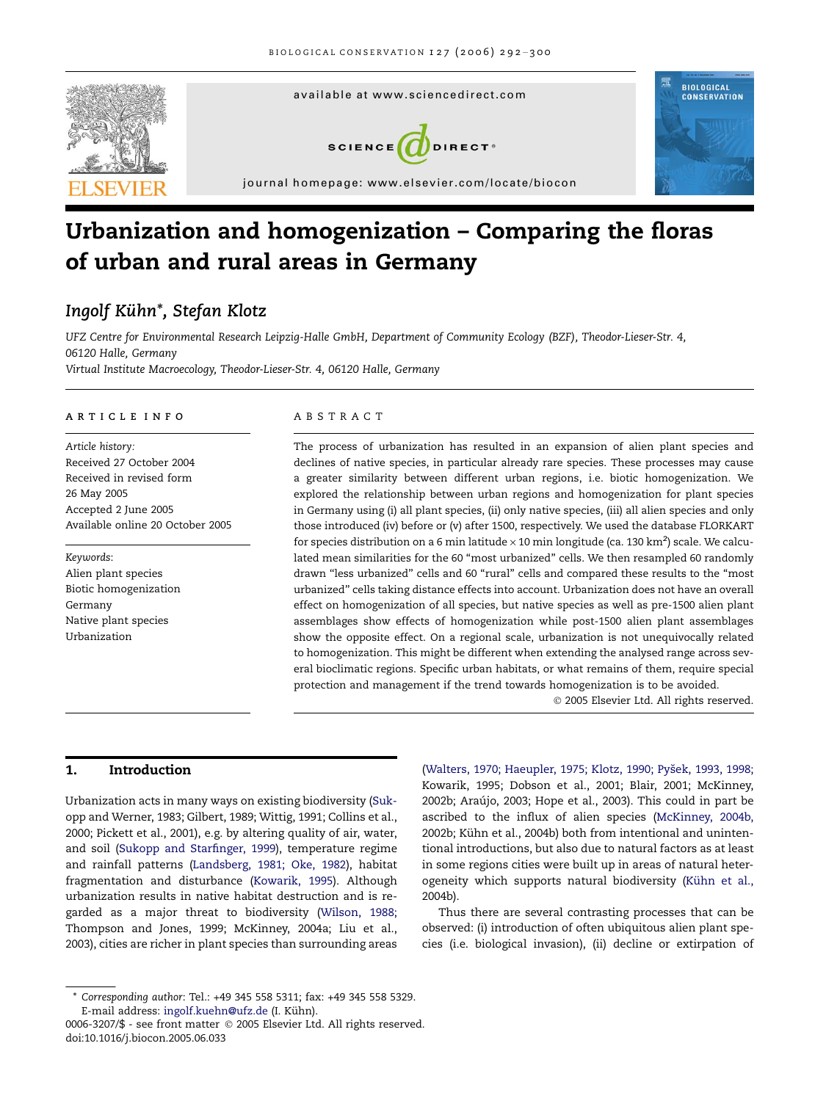

# Urbanization and homogenization – Comparing the floras of urban and rural areas in Germany

# Ingolf Kühn\*, Stefan Klotz

UFZ Centre for Environmental Research Leipzig-Halle GmbH, Department of Community Ecology (BZF), Theodor-Lieser-Str. 4, 06120 Halle, Germany Virtual Institute Macroecology, Theodor-Lieser-Str. 4, 06120 Halle, Germany

#### ARTICLE INFO

Article history: Received 27 October 2004 Received in revised form 26 May 2005 Accepted 2 June 2005 Available online 20 October 2005

Keywords: Alien plant species Biotic homogenization Germany Native plant species Urbanization

#### ABSTRACT

The process of urbanization has resulted in an expansion of alien plant species and declines of native species, in particular already rare species. These processes may cause a greater similarity between different urban regions, i.e. biotic homogenization. We explored the relationship between urban regions and homogenization for plant species in Germany using (i) all plant species, (ii) only native species, (iii) all alien species and only those introduced (iv) before or (v) after 1500, respectively. We used the database FLORKART for species distribution on a 6 min latitude  $\times$  10 min longitude (ca. 130 km $^2$ ) scale. We calculated mean similarities for the 60 ''most urbanized'' cells. We then resampled 60 randomly drawn ''less urbanized'' cells and 60 ''rural'' cells and compared these results to the ''most urbanized'' cells taking distance effects into account. Urbanization does not have an overall effect on homogenization of all species, but native species as well as pre-1500 alien plant assemblages show effects of homogenization while post-1500 alien plant assemblages show the opposite effect. On a regional scale, urbanization is not unequivocally related to homogenization. This might be different when extending the analysed range across several bioclimatic regions. Specific urban habitats, or what remains of them, require special protection and management if the trend towards homogenization is to be avoided.

2005 Elsevier Ltd. All rights reserved.

# 1. Introduction

Urbanization acts in many ways on existing biodiversity ([Suk](#page-7-0)[opp and Werner, 1983; Gilbert, 1989; Wittig, 1991; Collins et al.,](#page-7-0) [2000; Pickett et al., 2001](#page-7-0)), e.g. by altering quality of air, water, and soil ([Sukopp and Starfinger, 1999\)](#page-7-0), temperature regime and rainfall patterns [\(Landsberg, 1981; Oke, 1982](#page-7-0)), habitat fragmentation and disturbance ([Kowarik, 1995\)](#page-6-0). Although urbanization results in native habitat destruction and is regarded as a major threat to biodiversity [\(Wilson, 1988;](#page-8-0) [Thompson and Jones, 1999; McKinney, 2004a; Liu et al.,](#page-8-0) [2003\)](#page-8-0), cities are richer in plant species than surrounding areas (Walters, 1970; Haeupler, 1975; Klotz, 1990; Pyšek, 1993, 1998; [Kowarik, 1995; Dobson et al., 2001; Blair, 2001; McKinney,](#page-8-0) 2002b; Araújo, 2003; Hope et al., 2003). This could in part be ascribed to the influx of alien species [\(McKinney, 2004b,](#page-7-0) 2002b; Kühn et al., 2004b) both from intentional and unintentional introductions, but also due to natural factors as at least in some regions cities were built up in areas of natural heterogeneity which supports natural biodiversity (Kühn et al., [2004b\)](#page-7-0).

Thus there are several contrasting processes that can be observed: (i) introduction of often ubiquitous alien plant species (i.e. biological invasion), (ii) decline or extirpation of

<sup>\*</sup> Corresponding author: Tel.: +49 345 558 5311; fax: +49 345 558 5329. E-mail address: [ingolf.kuehn@ufz.de](mailto:ingolf.kuehn@ufz.de) (I. Kühn).

<sup>0006-3207/\$ -</sup> see front matter © 2005 Elsevier Ltd. All rights reserved. doi:10.1016/j.biocon.2005.06.033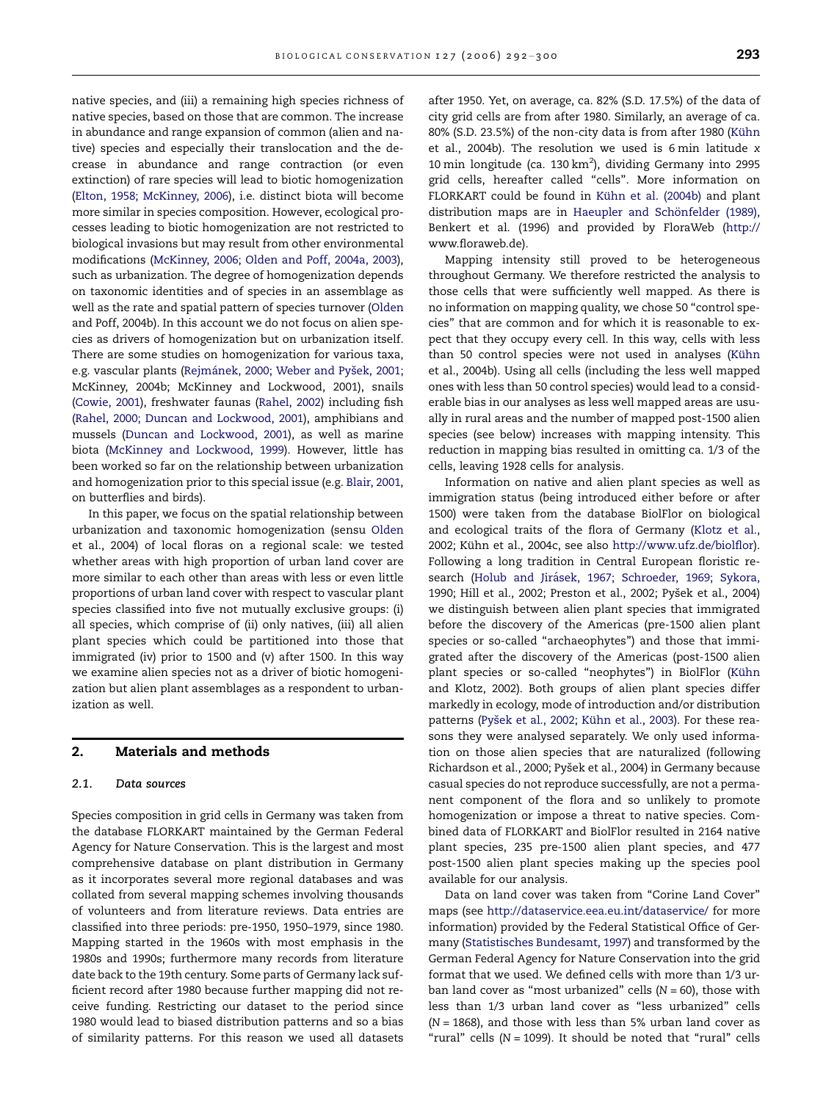native species, and (iii) a remaining high species richness of native species, based on those that are common. The increase in abundance and range expansion of common (alien and native) species and especially their translocation and the decrease in abundance and range contraction (or even extinction) of rare species will lead to biotic homogenization [\(Elton, 1958; McKinney, 2006\)](#page-6-0), i.e. distinct biota will become more similar in species composition. However, ecological processes leading to biotic homogenization are not restricted to biological invasions but may result from other environmental modifications ([McKinney, 2006; Olden and Poff, 2004a, 2003](#page-7-0)), such as urbanization. The degree of homogenization depends on taxonomic identities and of species in an assemblage as well as the rate and spatial pattern of species turnover ([Olden](#page-7-0) [and Poff, 2004b](#page-7-0)). In this account we do not focus on alien species as drivers of homogenization but on urbanization itself. There are some studies on homogenization for various taxa, e.g. vascular plants (Rejmánek, 2000; Weber and Pyšek, 2001; [McKinney, 2004b; McKinney and Lockwood, 2001\)](#page-7-0), snails [\(Cowie, 2001](#page-6-0)), freshwater faunas [\(Rahel, 2002](#page-7-0)) including fish [\(Rahel, 2000; Duncan and Lockwood, 2001\)](#page-7-0), amphibians and mussels [\(Duncan and Lockwood, 2001\)](#page-6-0), as well as marine biota [\(McKinney and Lockwood, 1999\)](#page-7-0). However, little has been worked so far on the relationship between urbanization and homogenization prior to this special issue (e.g. [Blair, 2001,](#page-6-0) on butterflies and birds).

In this paper, we focus on the spatial relationship between urbanization and taxonomic homogenization (sensu [Olden](#page-7-0) [et al., 2004](#page-7-0)) of local floras on a regional scale: we tested whether areas with high proportion of urban land cover are more similar to each other than areas with less or even little proportions of urban land cover with respect to vascular plant species classified into five not mutually exclusive groups: (i) all species, which comprise of (ii) only natives, (iii) all alien plant species which could be partitioned into those that immigrated (iv) prior to 1500 and (v) after 1500. In this way we examine alien species not as a driver of biotic homogenization but alien plant assemblages as a respondent to urbanization as well.

### 2. Materials and methods

#### 2.1. Data sources

Species composition in grid cells in Germany was taken from the database FLORKART maintained by the German Federal Agency for Nature Conservation. This is the largest and most comprehensive database on plant distribution in Germany as it incorporates several more regional databases and was collated from several mapping schemes involving thousands of volunteers and from literature reviews. Data entries are classified into three periods: pre-1950, 1950–1979, since 1980. Mapping started in the 1960s with most emphasis in the 1980s and 1990s; furthermore many records from literature date back to the 19th century. Some parts of Germany lack sufficient record after 1980 because further mapping did not receive funding. Restricting our dataset to the period since 1980 would lead to biased distribution patterns and so a bias of similarity patterns. For this reason we used all datasets after 1950. Yet, on average, ca. 82% (S.D. 17.5%) of the data of city grid cells are from after 1980. Similarly, an average of ca. 80% (S.D. 23.5%) of the non-city data is from after 1980 (Kühn [et al., 2004b](#page-7-0)). The resolution we used is 6 min latitude x 10 min longitude (ca. 130 km<sup>2</sup>), dividing Germany into 2995 grid cells, hereafter called ''cells''. More information on FLORKART could be found in Kühn et al. (2004b) and plant distribution maps are in Haeupler and Schönfelder (1989), [Benkert et al. \(1996\)](#page-6-0) and provided by FloraWeb [\(http://](http://www.floraweb.de) [www.floraweb.de](http://www.floraweb.de)).

Mapping intensity still proved to be heterogeneous throughout Germany. We therefore restricted the analysis to those cells that were sufficiently well mapped. As there is no information on mapping quality, we chose 50 ''control species'' that are common and for which it is reasonable to expect that they occupy every cell. In this way, cells with less than 50 control species were not used in analyses (Kühn [et al., 2004b](#page-7-0)). Using all cells (including the less well mapped ones with less than 50 control species) would lead to a considerable bias in our analyses as less well mapped areas are usually in rural areas and the number of mapped post-1500 alien species (see below) increases with mapping intensity. This reduction in mapping bias resulted in omitting ca. 1/3 of the cells, leaving 1928 cells for analysis.

Information on native and alien plant species as well as immigration status (being introduced either before or after 1500) were taken from the database BiolFlor on biological and ecological traits of the flora of Germany [\(Klotz et al.,](#page-6-0) 2002; Kühn et al., 2004c, see also <http://www.ufz.de/biolflor>). Following a long tradition in Central European floristic research (Holub and Jirásek, 1967; Schroeder, 1969; Sykora, 1990; Hill et al., 2002; Preston et al., 2002; Pyšek et al., 2004) we distinguish between alien plant species that immigrated before the discovery of the Americas (pre-1500 alien plant species or so-called ''archaeophytes'') and those that immigrated after the discovery of the Americas (post-1500 alien plant species or so-called "neophytes") in BiolFlor (Kühn [and Klotz, 2002](#page-7-0)). Both groups of alien plant species differ markedly in ecology, mode of introduction and/or distribution patterns (Pyšek et al., 2002; Kühn et al., 2003). For these reasons they were analysed separately. We only used information on those alien species that are naturalized (following Richardson et al., 2000; Pyšek et al., 2004) in Germany because casual species do not reproduce successfully, are not a permanent component of the flora and so unlikely to promote homogenization or impose a threat to native species. Combined data of FLORKART and BiolFlor resulted in 2164 native plant species, 235 pre-1500 alien plant species, and 477 post-1500 alien plant species making up the species pool available for our analysis.

Data on land cover was taken from ''Corine Land Cover'' maps (see <http://dataservice.eea.eu.int/dataservice/> for more information) provided by the Federal Statistical Office of Germany ([Statistisches Bundesamt, 1997\)](#page-7-0) and transformed by the German Federal Agency for Nature Conservation into the grid format that we used. We defined cells with more than 1/3 urban land cover as "most urbanized" cells  $(N = 60)$ , those with less than 1/3 urban land cover as ''less urbanized'' cells  $(N = 1868)$ , and those with less than 5% urban land cover as "rural" cells ( $N = 1099$ ). It should be noted that "rural" cells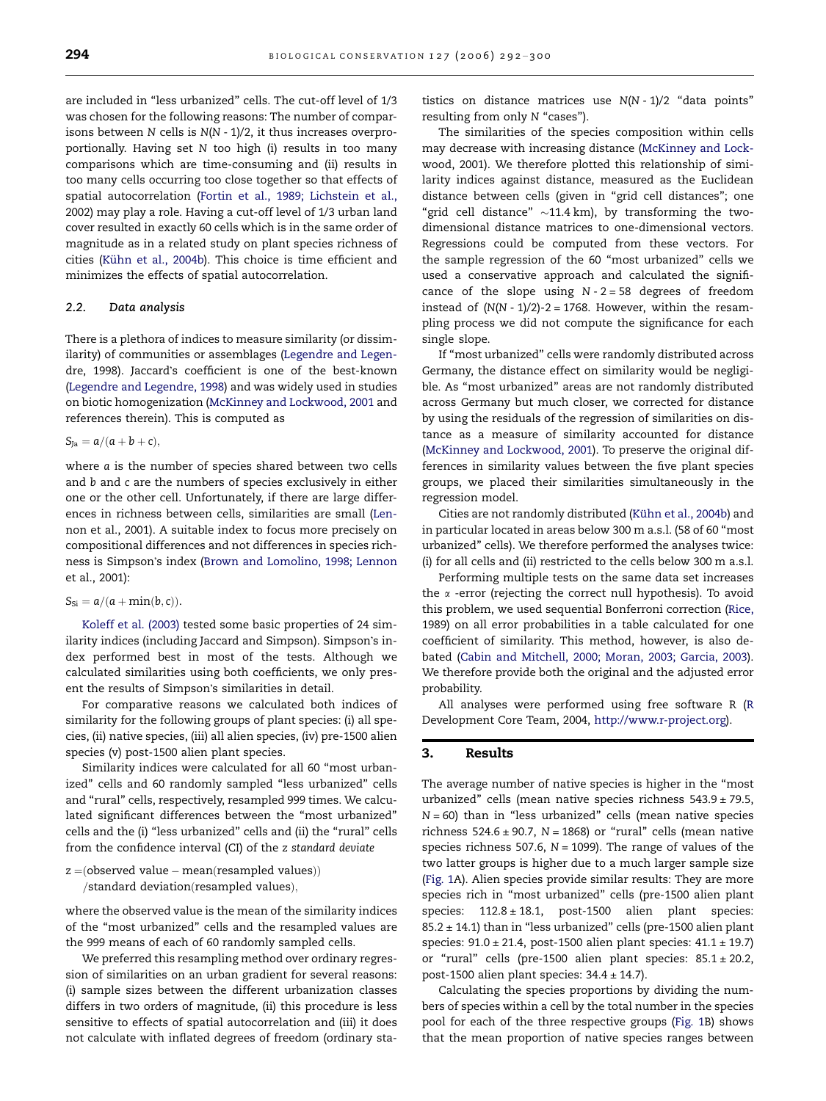are included in ''less urbanized'' cells. The cut-off level of 1/3 was chosen for the following reasons: The number of comparisons between  $N$  cells is  $N(N - 1)/2$ , it thus increases overproportionally. Having set N too high (i) results in too many comparisons which are time-consuming and (ii) results in too many cells occurring too close together so that effects of spatial autocorrelation [\(Fortin et al., 1989; Lichstein et al.,](#page-6-0) [2002\)](#page-6-0) may play a role. Having a cut-off level of 1/3 urban land cover resulted in exactly 60 cells which is in the same order of magnitude as in a related study on plant species richness of cities (Kü[hn et al., 2004b](#page-7-0)). This choice is time efficient and minimizes the effects of spatial autocorrelation.

### 2.2. Data analysis

There is a plethora of indices to measure similarity (or dissimilarity) of communities or assemblages ([Legendre and Legen](#page-7-0)[dre, 1998\)](#page-7-0). Jaccard's coefficient is one of the best-known ([Legendre and Legendre, 1998\)](#page-7-0) and was widely used in studies on biotic homogenization ([McKinney and Lockwood, 2001](#page-7-0) and references therein). This is computed as

 $S_{Ja} = a/(a + b + c),$ 

where a is the number of species shared between two cells and b and c are the numbers of species exclusively in either one or the other cell. Unfortunately, if there are large differences in richness between cells, similarities are small [\(Len](#page-7-0)[non et al., 2001](#page-7-0)). A suitable index to focus more precisely on compositional differences and not differences in species rich-ness is Simpson's index ([Brown and Lomolino, 1998; Lennon](#page-6-0) [et al., 2001](#page-6-0)):

 $S_{\text{Si}} = a/(a + \min(b, c)).$ 

[Koleff et al. \(2003\)](#page-6-0) tested some basic properties of 24 similarity indices (including Jaccard and Simpson). Simpson's index performed best in most of the tests. Although we calculated similarities using both coefficients, we only present the results of Simpson's similarities in detail.

For comparative reasons we calculated both indices of similarity for the following groups of plant species: (i) all species, (ii) native species, (iii) all alien species, (iv) pre-1500 alien species (v) post-1500 alien plant species.

Similarity indices were calculated for all 60 "most urbanized" cells and 60 randomly sampled "less urbanized" cells and "rural" cells, respectively, resampled 999 times. We calculated significant differences between the ''most urbanized'' cells and the (i) ''less urbanized'' cells and (ii) the ''rural'' cells from the confidence interval (CI) of the z standard deviate

$$
z = (observed value - mean(resampled values))
$$
  

$$
/standard deviation(resampled values),
$$

where the observed value is the mean of the similarity indices of the ''most urbanized'' cells and the resampled values are the 999 means of each of 60 randomly sampled cells.

We preferred this resampling method over ordinary regression of similarities on an urban gradient for several reasons: (i) sample sizes between the different urbanization classes differs in two orders of magnitude, (ii) this procedure is less sensitive to effects of spatial autocorrelation and (iii) it does not calculate with inflated degrees of freedom (ordinary statistics on distance matrices use  $N(N - 1)/2$  "data points" resulting from only N "cases").

The similarities of the species composition within cells may decrease with increasing distance ([McKinney and Lock](#page-7-0)[wood, 2001\)](#page-7-0). We therefore plotted this relationship of similarity indices against distance, measured as the Euclidean distance between cells (given in ''grid cell distances''; one "grid cell distance"  ${\sim}$ 11.4 km), by transforming the twodimensional distance matrices to one-dimensional vectors. Regressions could be computed from these vectors. For the sample regression of the 60 ''most urbanized'' cells we used a conservative approach and calculated the significance of the slope using  $N - 2 = 58$  degrees of freedom instead of  $(N(N - 1)/2)$ -2 = 1768. However, within the resampling process we did not compute the significance for each single slope.

If ''most urbanized'' cells were randomly distributed across Germany, the distance effect on similarity would be negligible. As ''most urbanized'' areas are not randomly distributed across Germany but much closer, we corrected for distance by using the residuals of the regression of similarities on distance as a measure of similarity accounted for distance ([McKinney and Lockwood, 2001](#page-7-0)). To preserve the original differences in similarity values between the five plant species groups, we placed their similarities simultaneously in the regression model.

Cities are not randomly distributed (Kühn et al., 2004b) and in particular located in areas below 300 m a.s.l. (58 of 60 ''most urbanized'' cells). We therefore performed the analyses twice: (i) for all cells and (ii) restricted to the cells below 300 m a.s.l.

Performing multiple tests on the same data set increases the *a* -error (rejecting the correct null hypothesis). To avoid this problem, we used sequential Bonferroni correction [\(Rice,](#page-7-0) [1989\)](#page-7-0) on all error probabilities in a table calculated for one coefficient of similarity. This method, however, is also debated ([Cabin and Mitchell, 2000; Moran, 2003; Garcia, 2003\)](#page-6-0). We therefore provide both the original and the adjusted error probability.

All analyses were performed using free software R [\(R](#page-7-0) [Development Core Team, 2004,](#page-7-0) <http://www.r-project.org>).

### 3. Results

The average number of native species is higher in the ''most urbanized" cells (mean native species richness  $543.9 \pm 79.5$ ,  $N = 60$ ) than in "less urbanized" cells (mean native species richness  $524.6 \pm 90.7$ , N = 1868) or "rural" cells (mean native species richness 507.6,  $N = 1099$ ). The range of values of the two latter groups is higher due to a much larger sample size ([Fig. 1](#page-3-0)A). Alien species provide similar results: They are more species rich in ''most urbanized'' cells (pre-1500 alien plant species: 112.8 ± 18.1, post-1500 alien plant species:  $85.2 \pm 14.1$ ) than in "less urbanized" cells (pre-1500 alien plant species: 91.0 ± 21.4, post-1500 alien plant species: 41.1 ± 19.7) or "rural" cells (pre-1500 alien plant species:  $85.1 \pm 20.2$ , post-1500 alien plant species:  $34.4 \pm 14.7$ ).

Calculating the species proportions by dividing the numbers of species within a cell by the total number in the species pool for each of the three respective groups ([Fig. 1B](#page-3-0)) shows that the mean proportion of native species ranges between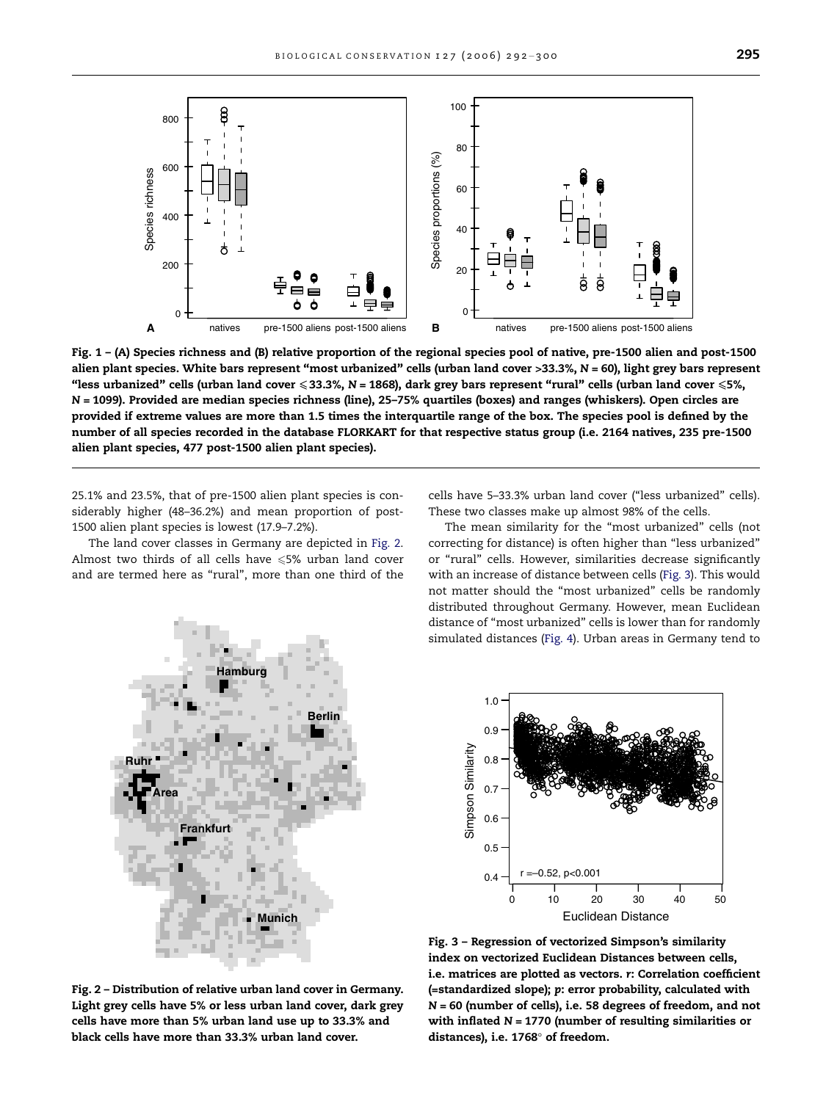<span id="page-3-0"></span>

Fig. 1 – (A) Species richness and (B) relative proportion of the regional species pool of native, pre-1500 alien and post-1500 alien plant species. White bars represent "most urbanized" cells (urban land cover >33.3%,  $N = 60$ ), light grey bars represent "less urbanized" cells (urban land cover  $\leqslant$  33.3%, N = 1868), dark grey bars represent "rural" cells (urban land cover  $\leqslant$  5%, N = 1099). Provided are median species richness (line), 25–75% quartiles (boxes) and ranges (whiskers). Open circles are provided if extreme values are more than 1.5 times the interquartile range of the box. The species pool is defined by the number of all species recorded in the database FLORKART for that respective status group (i.e. 2164 natives, 235 pre-1500 alien plant species, 477 post-1500 alien plant species).

25.1% and 23.5%, that of pre-1500 alien plant species is considerably higher (48–36.2%) and mean proportion of post-1500 alien plant species is lowest (17.9–7.2%).

The land cover classes in Germany are depicted in Fig. 2. Almost two thirds of all cells have  $\leq 5\%$  urban land cover and are termed here as "rural", more than one third of the cells have 5–33.3% urban land cover (''less urbanized'' cells). These two classes make up almost 98% of the cells.

The mean similarity for the "most urbanized" cells (not correcting for distance) is often higher than ''less urbanized'' or ''rural'' cells. However, similarities decrease significantly with an increase of distance between cells (Fig. 3). This would not matter should the ''most urbanized'' cells be randomly distributed throughout Germany. However, mean Euclidean distance of ''most urbanized'' cells is lower than for randomly simulated distances ([Fig. 4](#page-4-0)). Urban areas in Germany tend to





Fig. 2 – Distribution of relative urban land cover in Germany. Light grey cells have 5% or less urban land cover, dark grey cells have more than 5% urban land use up to 33.3% and black cells have more than 33.3% urban land cover.

Fig. 3 – Regression of vectorized Simpson's similarity index on vectorized Euclidean Distances between cells, i.e. matrices are plotted as vectors. r: Correlation coefficient (=standardized slope); p: error probability, calculated with N = 60 (number of cells), i.e. 58 degrees of freedom, and not with inflated  $N = 1770$  (number of resulting similarities or distances), i.e. 1768° of freedom.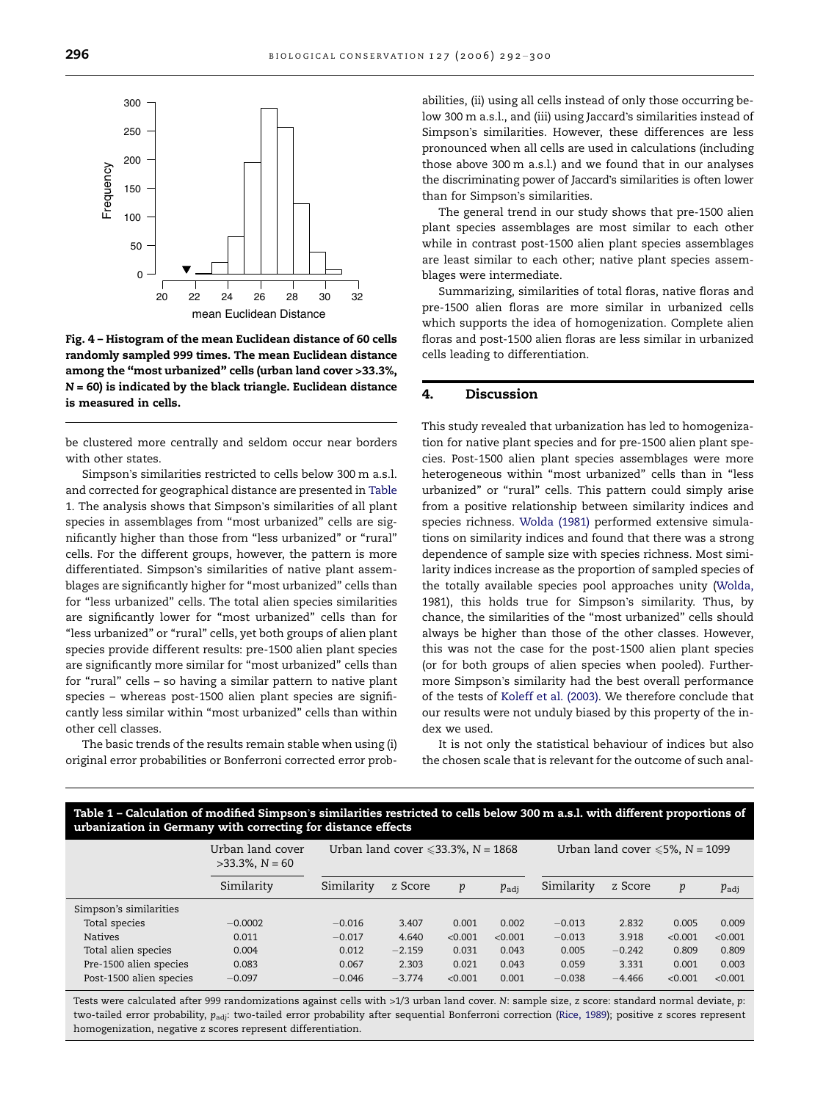<span id="page-4-0"></span>

Fig. 4 – Histogram of the mean Euclidean distance of 60 cells randomly sampled 999 times. The mean Euclidean distance among the ''most urbanized'' cells (urban land cover >33.3%,  $N = 60$ ) is indicated by the black triangle. Euclidean distance is measured in cells.

be clustered more centrally and seldom occur near borders with other states.

Simpson's similarities restricted to cells below 300 m a.s.l. and corrected for geographical distance are presented in Table 1. The analysis shows that Simpson's similarities of all plant species in assemblages from ''most urbanized'' cells are significantly higher than those from ''less urbanized'' or ''rural'' cells. For the different groups, however, the pattern is more differentiated. Simpson's similarities of native plant assemblages are significantly higher for ''most urbanized'' cells than for ''less urbanized'' cells. The total alien species similarities are significantly lower for "most urbanized" cells than for "less urbanized" or "rural" cells, yet both groups of alien plant species provide different results: pre-1500 alien plant species are significantly more similar for "most urbanized" cells than for ''rural'' cells – so having a similar pattern to native plant species – whereas post-1500 alien plant species are significantly less similar within ''most urbanized'' cells than within other cell classes.

The basic trends of the results remain stable when using (i) original error probabilities or Bonferroni corrected error probabilities, (ii) using all cells instead of only those occurring below 300 m a.s.l., and (iii) using Jaccard's similarities instead of Simpson's similarities. However, these differences are less pronounced when all cells are used in calculations (including those above 300 m a.s.l.) and we found that in our analyses the discriminating power of Jaccard's similarities is often lower than for Simpson's similarities.

The general trend in our study shows that pre-1500 alien plant species assemblages are most similar to each other while in contrast post-1500 alien plant species assemblages are least similar to each other; native plant species assemblages were intermediate.

Summarizing, similarities of total floras, native floras and pre-1500 alien floras are more similar in urbanized cells which supports the idea of homogenization. Complete alien floras and post-1500 alien floras are less similar in urbanized cells leading to differentiation.

# 4. Discussion

This study revealed that urbanization has led to homogenization for native plant species and for pre-1500 alien plant species. Post-1500 alien plant species assemblages were more heterogeneous within "most urbanized" cells than in "less urbanized" or "rural" cells. This pattern could simply arise from a positive relationship between similarity indices and species richness. [Wolda \(1981\)](#page-8-0) performed extensive simulations on similarity indices and found that there was a strong dependence of sample size with species richness. Most similarity indices increase as the proportion of sampled species of the totally available species pool approaches unity [\(Wolda,](#page-8-0) [1981\)](#page-8-0), this holds true for Simpson's similarity. Thus, by chance, the similarities of the "most urbanized" cells should always be higher than those of the other classes. However, this was not the case for the post-1500 alien plant species (or for both groups of alien species when pooled). Furthermore Simpson's similarity had the best overall performance of the tests of [Koleff et al. \(2003\)](#page-6-0). We therefore conclude that our results were not unduly biased by this property of the index we used.

It is not only the statistical behaviour of indices but also the chosen scale that is relevant for the outcome of such anal-

Table 1 – Calculation of modified Simpson's similarities restricted to cells below 300 m a.s.l. with different proportions of urbanization in Germany with correcting for distance effects

|                         | .,<br>$\sim$                           |                                              |          |         |                |                                        |          |         |                  |
|-------------------------|----------------------------------------|----------------------------------------------|----------|---------|----------------|----------------------------------------|----------|---------|------------------|
|                         | Urban land cover<br>$>33.3\%$ , N = 60 | Urban land cover $\leqslant$ 33.3%, N = 1868 |          |         |                | Urban land cover $\leq 5\%$ , N = 1099 |          |         |                  |
|                         | Similarity                             | Similarity                                   | z Score  | p       | $p_{\rm{adi}}$ | Similarity                             | z Score  | p       | $p_{\text{adj}}$ |
| Simpson's similarities  |                                        |                                              |          |         |                |                                        |          |         |                  |
| Total species           | $-0.0002$                              | $-0.016$                                     | 3.407    | 0.001   | 0.002          | $-0.013$                               | 2.832    | 0.005   | 0.009            |
| <b>Natives</b>          | 0.011                                  | $-0.017$                                     | 4.640    | < 0.001 | < 0.001        | $-0.013$                               | 3.918    | < 0.001 | < 0.001          |
| Total alien species     | 0.004                                  | 0.012                                        | $-2.159$ | 0.031   | 0.043          | 0.005                                  | $-0.242$ | 0.809   | 0.809            |
| Pre-1500 alien species  | 0.083                                  | 0.067                                        | 2.303    | 0.021   | 0.043          | 0.059                                  | 3.331    | 0.001   | 0.003            |
| Post-1500 alien species | $-0.097$                               | $-0.046$                                     | $-3.774$ | < 0.001 | 0.001          | $-0.038$                               | $-4.466$ | < 0.001 | < 0.001          |
|                         |                                        |                                              |          |         |                |                                        |          |         |                  |

Tests were calculated after 999 randomizations against cells with >1/3 urban land cover. N: sample size, z score: standard normal deviate, p: two-tailed error probability, p<sub>adj</sub>: two-tailed error probability after sequential Bonferroni correction ([Rice, 1989](#page-7-0)); positive z scores represent homogenization, negative z scores represent differentiation.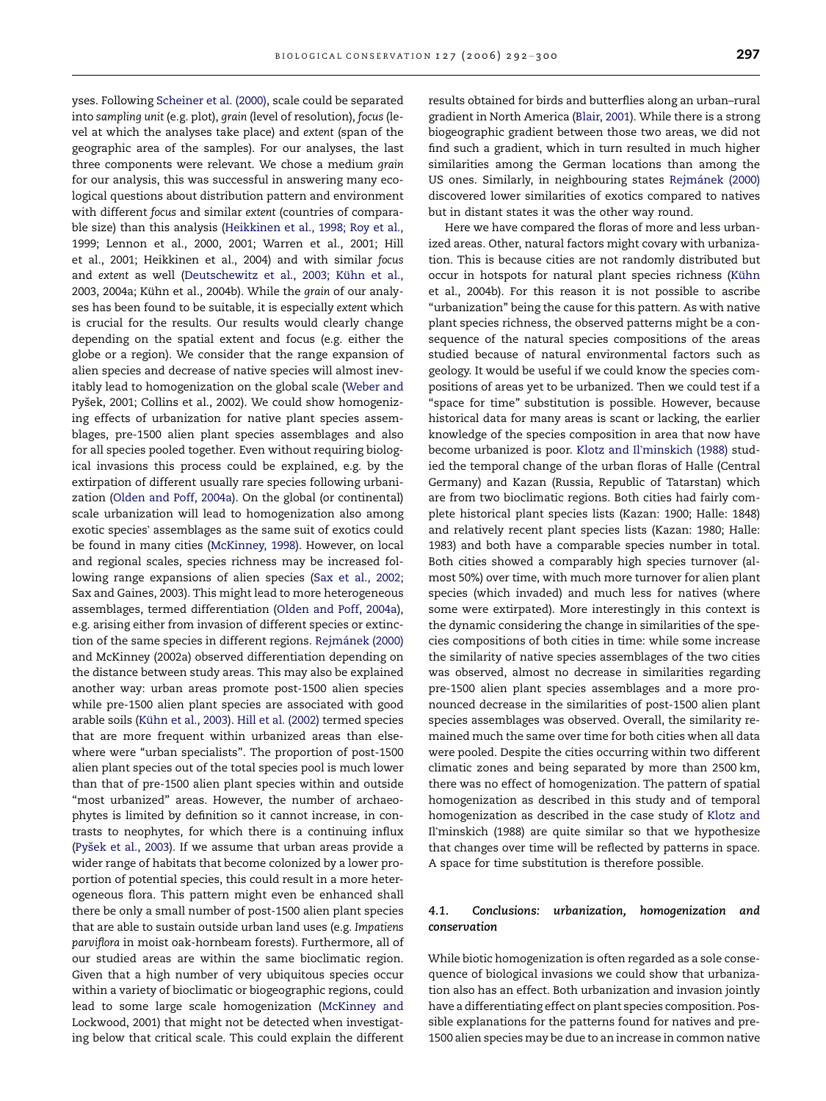yses. Following [Scheiner et al. \(2000\)](#page-7-0), scale could be separated into sampling unit (e.g. plot), grain (level of resolution), focus (level at which the analyses take place) and extent (span of the geographic area of the samples). For our analyses, the last three components were relevant. We chose a medium grain for our analysis, this was successful in answering many ecological questions about distribution pattern and environment with different focus and similar extent (countries of comparable size) than this analysis [\(Heikkinen et al., 1998; Roy et al.,](#page-6-0) [1999; Lennon et al., 2000, 2001; Warren et al., 2001; Hill](#page-6-0) [et al., 2001; Heikkinen et al., 2004](#page-6-0)) and with similar focus and extent as well (Deutschewitz et al., 2003; Kühn et al., 2003, 2004a; Kühn et al., 2004b). While the grain of our analyses has been found to be suitable, it is especially extent which is crucial for the results. Our results would clearly change depending on the spatial extent and focus (e.g. either the globe or a region). We consider that the range expansion of alien species and decrease of native species will almost inevitably lead to homogenization on the global scale ([Weber and](#page-8-0) Pyšek, 2001; Collins et al., 2002). We could show homogenizing effects of urbanization for native plant species assemblages, pre-1500 alien plant species assemblages and also for all species pooled together. Even without requiring biological invasions this process could be explained, e.g. by the extirpation of different usually rare species following urbanization ([Olden and Poff, 2004a](#page-7-0)). On the global (or continental) scale urbanization will lead to homogenization also among exotic species' assemblages as the same suit of exotics could be found in many cities ([McKinney, 1998\)](#page-7-0). However, on local and regional scales, species richness may be increased following range expansions of alien species [\(Sax et al., 2002;](#page-7-0) [Sax and Gaines, 2003\)](#page-7-0). This might lead to more heterogeneous assemblages, termed differentiation ([Olden and Poff, 2004a](#page-7-0)), e.g. arising either from invasion of different species or extinction of the same species in different regions. Rejmánek (2000) [and McKinney \(2002a\)](#page-7-0) observed differentiation depending on the distance between study areas. This may also be explained another way: urban areas promote post-1500 alien species while pre-1500 alien plant species are associated with good arable soils (Kühn et al., 2003). [Hill et al. \(2002\)](#page-6-0) termed species that are more frequent within urbanized areas than elsewhere were ''urban specialists''. The proportion of post-1500 alien plant species out of the total species pool is much lower than that of pre-1500 alien plant species within and outside "most urbanized" areas. However, the number of archaeophytes is limited by definition so it cannot increase, in contrasts to neophytes, for which there is a continuing influx (Pyšek et al., 2003). If we assume that urban areas provide a wider range of habitats that become colonized by a lower proportion of potential species, this could result in a more heterogeneous flora. This pattern might even be enhanced shall there be only a small number of post-1500 alien plant species that are able to sustain outside urban land uses (e.g. Impatiens parviflora in moist oak-hornbeam forests). Furthermore, all of our studied areas are within the same bioclimatic region. Given that a high number of very ubiquitous species occur within a variety of bioclimatic or biogeographic regions, could lead to some large scale homogenization [\(McKinney and](#page-7-0) [Lockwood, 2001](#page-7-0)) that might not be detected when investigating below that critical scale. This could explain the different

results obtained for birds and butterflies along an urban–rural gradient in North America ([Blair, 2001](#page-6-0)). While there is a strong biogeographic gradient between those two areas, we did not find such a gradient, which in turn resulted in much higher similarities among the German locations than among the US ones. Similarly, in neighbouring states Rejmánek (2000) discovered lower similarities of exotics compared to natives but in distant states it was the other way round.

Here we have compared the floras of more and less urbanized areas. Other, natural factors might covary with urbanization. This is because cities are not randomly distributed but occur in hotspots for natural plant species richness (Kühn [et al., 2004b\)](#page-7-0). For this reason it is not possible to ascribe ''urbanization'' being the cause for this pattern. As with native plant species richness, the observed patterns might be a consequence of the natural species compositions of the areas studied because of natural environmental factors such as geology. It would be useful if we could know the species compositions of areas yet to be urbanized. Then we could test if a "space for time" substitution is possible. However, because historical data for many areas is scant or lacking, the earlier knowledge of the species composition in area that now have become urbanized is poor. Klotz and Il'[minskich \(1988\)](#page-6-0) studied the temporal change of the urban floras of Halle (Central Germany) and Kazan (Russia, Republic of Tatarstan) which are from two bioclimatic regions. Both cities had fairly complete historical plant species lists (Kazan: 1900; Halle: 1848) and relatively recent plant species lists (Kazan: 1980; Halle: 1983) and both have a comparable species number in total. Both cities showed a comparably high species turnover (almost 50%) over time, with much more turnover for alien plant species (which invaded) and much less for natives (where some were extirpated). More interestingly in this context is the dynamic considering the change in similarities of the species compositions of both cities in time: while some increase the similarity of native species assemblages of the two cities was observed, almost no decrease in similarities regarding pre-1500 alien plant species assemblages and a more pronounced decrease in the similarities of post-1500 alien plant species assemblages was observed. Overall, the similarity remained much the same over time for both cities when all data were pooled. Despite the cities occurring within two different climatic zones and being separated by more than 2500 km, there was no effect of homogenization. The pattern of spatial homogenization as described in this study and of temporal homogenization as described in the case study of [Klotz and](#page-6-0) Il[minskich \(1988\)](#page-6-0) are quite similar so that we hypothesize that changes over time will be reflected by patterns in space. A space for time substitution is therefore possible.

#### 4.1. Conclusions: urbanization, homogenization and conservation

While biotic homogenization is often regarded as a sole consequence of biological invasions we could show that urbanization also has an effect. Both urbanization and invasion jointly have a differentiating effect on plant species composition. Possible explanations for the patterns found for natives and pre-1500 alien species may be due to an increase in common native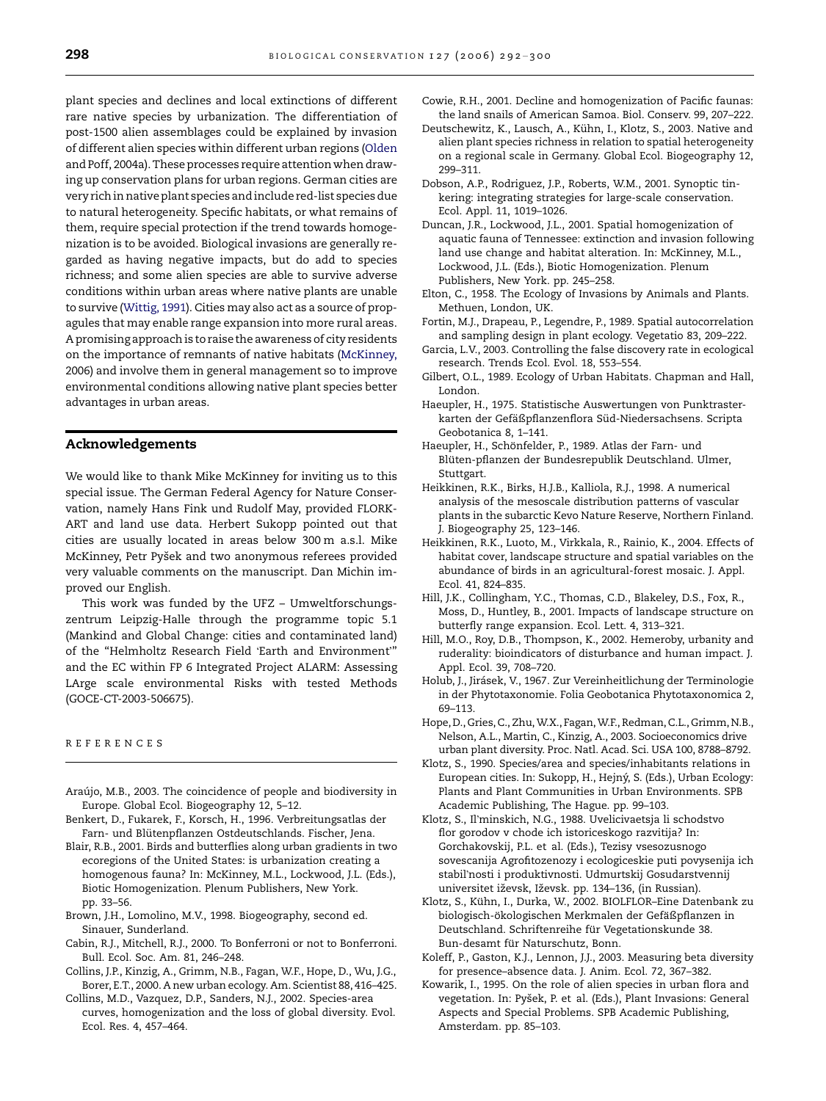<span id="page-6-0"></span>plant species and declines and local extinctions of different rare native species by urbanization. The differentiation of post-1500 alien assemblages could be explained by invasion of different alien species within different urban regions [\(Olden](#page-7-0) [and Poff, 2004a](#page-7-0)). These processes require attention when drawing up conservation plans for urban regions. German cities are very rich in nativeplant species and include red-list species due to natural heterogeneity. Specific habitats, or what remains of them, require special protection if the trend towards homogenization is to be avoided. Biological invasions are generally regarded as having negative impacts, but do add to species richness; and some alien species are able to survive adverse conditions within urban areas where native plants are unable to survive ([Wittig, 1991](#page-8-0)). Cities may also act as a source of propagules that may enable range expansion into more rural areas. A promising approach is to raise the awareness of city residents on the importance of remnants of native habitats ([McKinney,](#page-7-0) [2006\)](#page-7-0) and involve them in general management so to improve environmental conditions allowing native plant species better advantages in urban areas.

# Acknowledgements

We would like to thank Mike McKinney for inviting us to this special issue. The German Federal Agency for Nature Conservation, namely Hans Fink und Rudolf May, provided FLORK-ART and land use data. Herbert Sukopp pointed out that cities are usually located in areas below 300 m a.s.l. Mike McKinney, Petr Pyšek and two anonymous referees provided very valuable comments on the manuscript. Dan Michin improved our English.

This work was funded by the UFZ – Umweltforschungszentrum Leipzig-Halle through the programme topic 5.1 (Mankind and Global Change: cities and contaminated land) of the "Helmholtz Research Field 'Earth and Environment'" and the EC within FP 6 Integrated Project ALARM: Assessing LArge scale environmental Risks with tested Methods (GOCE-CT-2003-506675).

#### REFERENCES

- Araújo, M.B., 2003. The coincidence of people and biodiversity in Europe. Global Ecol. Biogeography 12, 5–12.
- Benkert, D., Fukarek, F., Korsch, H., 1996. Verbreitungsatlas der Farn- und Blütenpflanzen Ostdeutschlands. Fischer, Jena.
- Blair, R.B., 2001. Birds and butterflies along urban gradients in two ecoregions of the United States: is urbanization creating a homogenous fauna? In: McKinney, M.L., Lockwood, J.L. (Eds.), Biotic Homogenization. Plenum Publishers, New York. pp. 33–56.
- Brown, J.H., Lomolino, M.V., 1998. Biogeography, second ed. Sinauer, Sunderland.
- Cabin, R.J., Mitchell, R.J., 2000. To Bonferroni or not to Bonferroni. Bull. Ecol. Soc. Am. 81, 246–248.
- Collins, J.P., Kinzig, A., Grimm, N.B., Fagan, W.F., Hope, D., Wu, J.G., Borer, E.T., 2000. A new urban ecology. Am. Scientist 88, 416–425.
- Collins, M.D., Vazquez, D.P., Sanders, N.J., 2002. Species-area curves, homogenization and the loss of global diversity. Evol. Ecol. Res. 4, 457–464.
- Cowie, R.H., 2001. Decline and homogenization of Pacific faunas: the land snails of American Samoa. Biol. Conserv. 99, 207–222.
- Deutschewitz, K., Lausch, A., Kühn, I., Klotz, S., 2003. Native and alien plant species richness in relation to spatial heterogeneity on a regional scale in Germany. Global Ecol. Biogeography 12, 299–311.
- Dobson, A.P., Rodriguez, J.P., Roberts, W.M., 2001. Synoptic tinkering: integrating strategies for large-scale conservation. Ecol. Appl. 11, 1019–1026.
- Duncan, J.R., Lockwood, J.L., 2001. Spatial homogenization of aquatic fauna of Tennessee: extinction and invasion following land use change and habitat alteration. In: McKinney, M.L., Lockwood, J.L. (Eds.), Biotic Homogenization. Plenum Publishers, New York. pp. 245–258.
- Elton, C., 1958. The Ecology of Invasions by Animals and Plants. Methuen, London, UK.
- Fortin, M.J., Drapeau, P., Legendre, P., 1989. Spatial autocorrelation and sampling design in plant ecology. Vegetatio 83, 209–222.
- Garcia, L.V., 2003. Controlling the false discovery rate in ecological research. Trends Ecol. Evol. 18, 553–554.
- Gilbert, O.L., 1989. Ecology of Urban Habitats. Chapman and Hall, London.
- Haeupler, H., 1975. Statistische Auswertungen von Punktrasterkarten der Gefäßpflanzenflora Süd-Niedersachsens. Scripta Geobotanica 8, 1–141.
- Haeupler, H., Schönfelder, P., 1989. Atlas der Farn- und Blüten-pflanzen der Bundesrepublik Deutschland. Ulmer, Stuttgart.
- Heikkinen, R.K., Birks, H.J.B., Kalliola, R.J., 1998. A numerical analysis of the mesoscale distribution patterns of vascular plants in the subarctic Kevo Nature Reserve, Northern Finland. J. Biogeography 25, 123–146.
- Heikkinen, R.K., Luoto, M., Virkkala, R., Rainio, K., 2004. Effects of habitat cover, landscape structure and spatial variables on the abundance of birds in an agricultural-forest mosaic. J. Appl. Ecol. 41, 824–835.
- Hill, J.K., Collingham, Y.C., Thomas, C.D., Blakeley, D.S., Fox, R., Moss, D., Huntley, B., 2001. Impacts of landscape structure on butterfly range expansion. Ecol. Lett. 4, 313–321.
- Hill, M.O., Roy, D.B., Thompson, K., 2002. Hemeroby, urbanity and ruderality: bioindicators of disturbance and human impact. J. Appl. Ecol. 39, 708–720.
- Holub, J., Jirásek, V., 1967. Zur Vereinheitlichung der Terminologie in der Phytotaxonomie. Folia Geobotanica Phytotaxonomica 2, 69–113.
- Hope,D., Gries, C., Zhu, W.X., Fagan, W.F., Redman, C.L., Grimm, N.B., Nelson, A.L., Martin, C., Kinzig, A., 2003. Socioeconomics drive urban plant diversity. Proc. Natl. Acad. Sci. USA 100, 8788–8792.
- Klotz, S., 1990. Species/area and species/inhabitants relations in European cities. In: Sukopp, H., Hejný, S. (Eds.), Urban Ecology: Plants and Plant Communities in Urban Environments. SPB Academic Publishing, The Hague. pp. 99–103.
- Klotz, S., Il'minskich, N.G., 1988. Uvelicivaetsja li schodstvo flor gorodov v chode ich istoriceskogo razvitija? In: Gorchakovskij, P.L. et al. (Eds.), Tezisy vsesozusnogo sovescanija Agrofitozenozy i ecologiceskie puti povysenija ich stabil'nosti i produktivnosti. Udmurtskij Gosudarstvennij universitet iževsk, Iževsk. pp. 134–136, (in Russian).
- Klotz, S., Kühn, I., Durka, W., 2002. BIOLFLOR-Eine Datenbank zu biologisch-ökologischen Merkmalen der Gefäßpflanzen in Deutschland. Schriftenreihe für Vegetationskunde 38. Bun-desamt für Naturschutz, Bonn.
- Koleff, P., Gaston, K.J., Lennon, J.J., 2003. Measuring beta diversity for presence–absence data. J. Anim. Ecol. 72, 367–382.
- Kowarik, I., 1995. On the role of alien species in urban flora and vegetation. In: Pyšek, P. et al. (Eds.), Plant Invasions: General Aspects and Special Problems. SPB Academic Publishing, Amsterdam. pp. 85–103.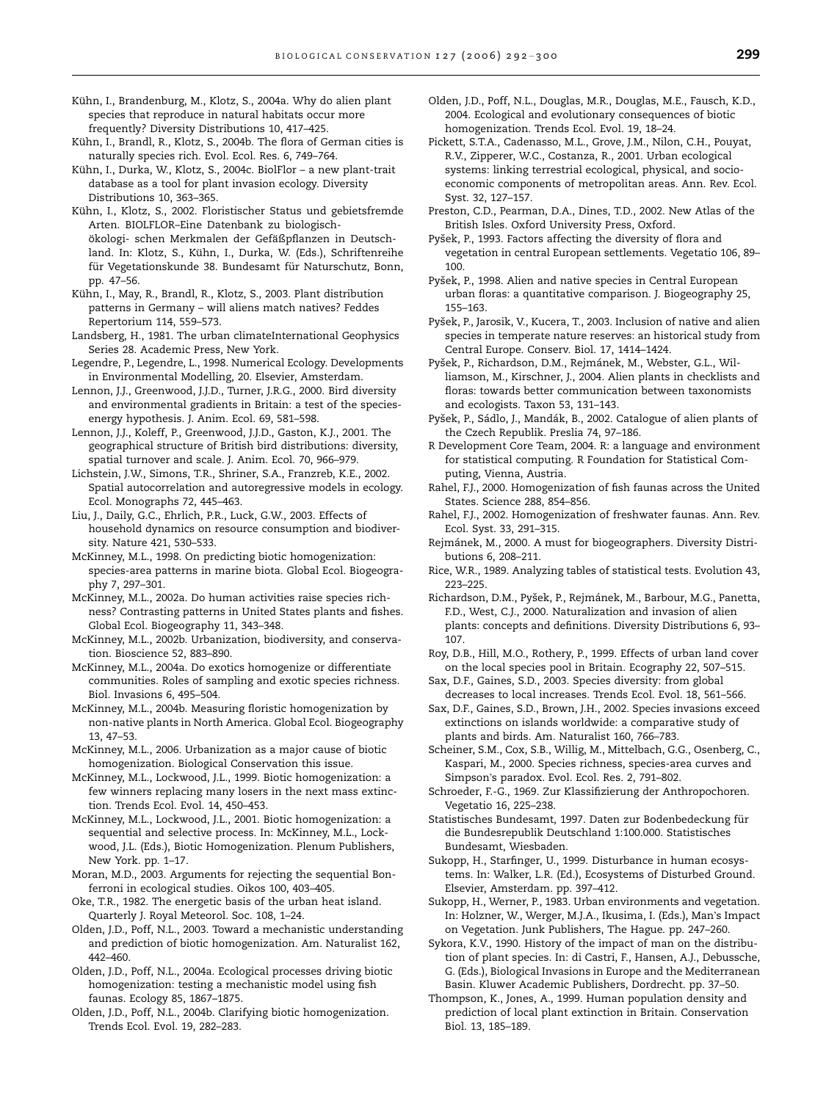<span id="page-7-0"></span>Kühn, I., Brandenburg, M., Klotz, S., 2004a. Why do alien plant species that reproduce in natural habitats occur more frequently? Diversity Distributions 10, 417–425.

Kühn, I., Brandl, R., Klotz, S., 2004b. The flora of German cities is naturally species rich. Evol. Ecol. Res. 6, 749–764.

Kühn, I., Durka, W., Klotz, S., 2004c. BiolFlor - a new plant-trait database as a tool for plant invasion ecology. Diversity Distributions 10, 363–365.

Kühn, I., Klotz, S., 2002. Floristischer Status und gebietsfremde Arten. BIOLFLOR–Eine Datenbank zu biologischökologi- schen Merkmalen der Gefäßpflanzen in Deutschland. In: Klotz, S., Kühn, I., Durka, W. (Eds.), Schriftenreihe für Vegetationskunde 38. Bundesamt für Naturschutz, Bonn, pp. 47–56.

Kühn, I., May, R., Brandl, R., Klotz, S., 2003. Plant distribution patterns in Germany – will aliens match natives? Feddes Repertorium 114, 559–573.

Landsberg, H., 1981. The urban climateInternational Geophysics Series 28. Academic Press, New York.

Legendre, P., Legendre, L., 1998. Numerical Ecology. Developments in Environmental Modelling, 20. Elsevier, Amsterdam.

Lennon, J.J., Greenwood, J.J.D., Turner, J.R.G., 2000. Bird diversity and environmental gradients in Britain: a test of the speciesenergy hypothesis. J. Anim. Ecol. 69, 581–598.

Lennon, J.J., Koleff, P., Greenwood, J.J.D., Gaston, K.J., 2001. The geographical structure of British bird distributions: diversity, spatial turnover and scale. J. Anim. Ecol. 70, 966–979.

Lichstein, J.W., Simons, T.R., Shriner, S.A., Franzreb, K.E., 2002. Spatial autocorrelation and autoregressive models in ecology. Ecol. Monographs 72, 445–463.

Liu, J., Daily, G.C., Ehrlich, P.R., Luck, G.W., 2003. Effects of household dynamics on resource consumption and biodiversity. Nature 421, 530–533.

McKinney, M.L., 1998. On predicting biotic homogenization: species-area patterns in marine biota. Global Ecol. Biogeography 7, 297–301.

McKinney, M.L., 2002a. Do human activities raise species richness? Contrasting patterns in United States plants and fishes. Global Ecol. Biogeography 11, 343–348.

McKinney, M.L., 2002b. Urbanization, biodiversity, and conservation. Bioscience 52, 883–890.

McKinney, M.L., 2004a. Do exotics homogenize or differentiate communities. Roles of sampling and exotic species richness. Biol. Invasions 6, 495–504.

McKinney, M.L., 2004b. Measuring floristic homogenization by non-native plants in North America. Global Ecol. Biogeography 13, 47–53.

McKinney, M.L., 2006. Urbanization as a major cause of biotic homogenization. Biological Conservation this issue.

McKinney, M.L., Lockwood, J.L., 1999. Biotic homogenization: a few winners replacing many losers in the next mass extinction. Trends Ecol. Evol. 14, 450–453.

McKinney, M.L., Lockwood, J.L., 2001. Biotic homogenization: a sequential and selective process. In: McKinney, M.L., Lockwood, J.L. (Eds.), Biotic Homogenization. Plenum Publishers, New York. pp. 1–17.

Moran, M.D., 2003. Arguments for rejecting the sequential Bonferroni in ecological studies. Oikos 100, 403–405.

Oke, T.R., 1982. The energetic basis of the urban heat island. Quarterly J. Royal Meteorol. Soc. 108, 1–24.

Olden, J.D., Poff, N.L., 2003. Toward a mechanistic understanding and prediction of biotic homogenization. Am. Naturalist 162, 442–460.

Olden, J.D., Poff, N.L., 2004a. Ecological processes driving biotic homogenization: testing a mechanistic model using fish faunas. Ecology 85, 1867–1875.

Olden, J.D., Poff, N.L., 2004b. Clarifying biotic homogenization. Trends Ecol. Evol. 19, 282–283.

- Olden, J.D., Poff, N.L., Douglas, M.R., Douglas, M.E., Fausch, K.D., 2004. Ecological and evolutionary consequences of biotic homogenization. Trends Ecol. Evol. 19, 18–24.
- Pickett, S.T.A., Cadenasso, M.L., Grove, J.M., Nilon, C.H., Pouyat, R.V., Zipperer, W.C., Costanza, R., 2001. Urban ecological systems: linking terrestrial ecological, physical, and socioeconomic components of metropolitan areas. Ann. Rev. Ecol. Syst. 32, 127–157.
- Preston, C.D., Pearman, D.A., Dines, T.D., 2002. New Atlas of the British Isles. Oxford University Press, Oxford.
- Pyšek, P., 1993. Factors affecting the diversity of flora and vegetation in central European settlements. Vegetatio 106, 89– 100.

Pyšek, P., 1998. Alien and native species in Central European urban floras: a quantitative comparison. J. Biogeography 25, 155–163.

Pyšek, P., Jarosik, V., Kucera, T., 2003. Inclusion of native and alien species in temperate nature reserves: an historical study from Central Europe. Conserv. Biol. 17, 1414–1424.

Pyšek, P., Richardson, D.M., Rejmánek, M., Webster, G.L., Williamson, M., Kirschner, J., 2004. Alien plants in checklists and floras: towards better communication between taxonomists and ecologists. Taxon 53, 131–143.

Pyšek, P., Sádlo, J., Mandák, B., 2002. Catalogue of alien plants of the Czech Republik. Preslia 74, 97–186.

R Development Core Team, 2004. R: a language and environment for statistical computing. R Foundation for Statistical Computing, Vienna, Austria.

- Rahel, F.J., 2000. Homogenization of fish faunas across the United States. Science 288, 854–856.
- Rahel, F.J., 2002. Homogenization of freshwater faunas. Ann. Rev. Ecol. Syst. 33, 291–315.
- Rejma´nek, M., 2000. A must for biogeographers. Diversity Distributions 6, 208–211.
- Rice, W.R., 1989. Analyzing tables of statistical tests. Evolution 43, 223–225.

Richardson, D.M., Pyšek, P., Rejmánek, M., Barbour, M.G., Panetta, F.D., West, C.J., 2000. Naturalization and invasion of alien plants: concepts and definitions. Diversity Distributions 6, 93– 107.

- Roy, D.B., Hill, M.O., Rothery, P., 1999. Effects of urban land cover on the local species pool in Britain. Ecography 22, 507–515.
- Sax, D.F., Gaines, S.D., 2003. Species diversity: from global decreases to local increases. Trends Ecol. Evol. 18, 561–566.

Sax, D.F., Gaines, S.D., Brown, J.H., 2002. Species invasions exceed extinctions on islands worldwide: a comparative study of plants and birds. Am. Naturalist 160, 766–783.

- Scheiner, S.M., Cox, S.B., Willig, M., Mittelbach, G.G., Osenberg, C., Kaspari, M., 2000. Species richness, species-area curves and Simpson's paradox. Evol. Ecol. Res. 2, 791-802.
- Schroeder, F.-G., 1969. Zur Klassifizierung der Anthropochoren. Vegetatio 16, 225–238.
- Statistisches Bundesamt, 1997. Daten zur Bodenbedeckung für die Bundesrepublik Deutschland 1:100.000. Statistisches Bundesamt, Wiesbaden.

Sukopp, H., Starfinger, U., 1999. Disturbance in human ecosystems. In: Walker, L.R. (Ed.), Ecosystems of Disturbed Ground. Elsevier, Amsterdam. pp. 397–412.

Sukopp, H., Werner, P., 1983. Urban environments and vegetation. In: Holzner, W., Werger, M.J.A., Ikusima, I. (Eds.), Man's Impact on Vegetation. Junk Publishers, The Hague. pp. 247–260.

Sykora, K.V., 1990. History of the impact of man on the distribution of plant species. In: di Castri, F., Hansen, A.J., Debussche, G. (Eds.), Biological Invasions in Europe and the Mediterranean Basin. Kluwer Academic Publishers, Dordrecht. pp. 37–50.

Thompson, K., Jones, A., 1999. Human population density and prediction of local plant extinction in Britain. Conservation Biol. 13, 185–189.